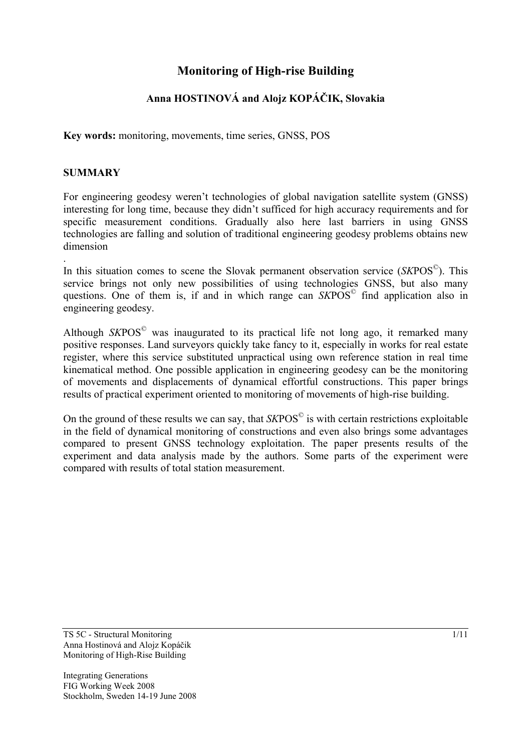# **Monitoring of High-rise Building**

# **Anna HOSTINOVÁ and Alojz KOPÁČIK, Slovakia**

**Key words:** monitoring, movements, time series, GNSS, POS

# **SUMMARY**

For engineering geodesy weren't technologies of global navigation satellite system (GNSS) interesting for long time, because they didn't sufficed for high accuracy requirements and for specific measurement conditions. Gradually also here last barriers in using GNSS technologies are falling and solution of traditional engineering geodesy problems obtains new dimension

. In this situation comes to scene the Slovak permanent observation service (*SK*POS©). This service brings not only new possibilities of using technologies GNSS, but also many questions. One of them is, if and in which range can *SK*POS© find application also in engineering geodesy.

Although *SK*POS© was inaugurated to its practical life not long ago, it remarked many positive responses. Land surveyors quickly take fancy to it, especially in works for real estate register, where this service substituted unpractical using own reference station in real time kinematical method. One possible application in engineering geodesy can be the monitoring of movements and displacements of dynamical effortful constructions. This paper brings results of practical experiment oriented to monitoring of movements of high-rise building.

On the ground of these results we can say, that *SKPOS*<sup>©</sup> is with certain restrictions exploitable in the field of dynamical monitoring of constructions and even also brings some advantages compared to present GNSS technology exploitation. The paper presents results of the experiment and data analysis made by the authors. Some parts of the experiment were compared with results of total station measurement.

TS 5C - Structural Monitoring 1/11 Anna Hostinová and Alojz Kopáčik Monitoring of High-Rise Building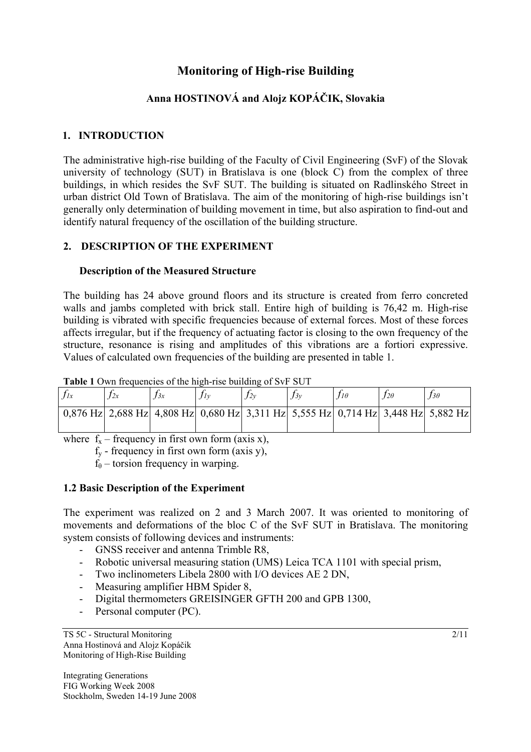# **Monitoring of High-rise Building**

# **Anna HOSTINOVÁ and Alojz KOPÁČIK, Slovakia**

# **1. INTRODUCTION**

The administrative high-rise building of the Faculty of Civil Engineering (SvF) of the Slovak university of technology (SUT) in Bratislava is one (block C) from the complex of three buildings, in which resides the SvF SUT. The building is situated on Radlinského Street in urban district Old Town of Bratislava. The aim of the monitoring of high-rise buildings isn't generally only determination of building movement in time, but also aspiration to find-out and identify natural frequency of the oscillation of the building structure.

# **2. DESCRIPTION OF THE EXPERIMENT**

## **Description of the Measured Structure**

The building has 24 above ground floors and its structure is created from ferro concreted walls and jambs completed with brick stall. Entire high of building is 76,42 m. High-rise building is vibrated with specific frequencies because of external forces. Most of these forces affects irregular, but if the frequency of actuating factor is closing to the own frequency of the structure, resonance is rising and amplitudes of this vibrations are a fortiori expressive. Values of calculated own frequencies of the building are presented in table 1.

| <b>THUIC</b> I OWN HOGGONOLOG OF THE MILL HOG DUNGING OF DVT DO I |    |     |                                                                                    |  |     |  |            |            |
|-------------------------------------------------------------------|----|-----|------------------------------------------------------------------------------------|--|-----|--|------------|------------|
|                                                                   | 2x | J3x | $\Lambda$                                                                          |  | J3v |  | $12\theta$ | $13\theta$ |
|                                                                   |    |     | $0.876$ Hz 2.688 Hz 4.808 Hz 0.680 Hz 3.311 Hz 5.555 Hz 0.714 Hz 3.448 Hz 5.882 Hz |  |     |  |            |            |

Table 1 Own frequencies of the high-rise building of SvF SUT

where  $f_x$  – frequency in first own form (axis x),

 $f_y$  - frequency in first own form (axis y),

 $f_{\theta}$  – torsion frequency in warping.

## **1.2 Basic Description of the Experiment**

The experiment was realized on 2 and 3 March 2007. It was oriented to monitoring of movements and deformations of the bloc C of the SvF SUT in Bratislava. The monitoring system consists of following devices and instruments:

- GNSS receiver and antenna Trimble R8,
- Robotic universal measuring station (UMS) Leica TCA 1101 with special prism,
- Two inclinometers Libela 2800 with I/O devices AE 2 DN,
- Measuring amplifier HBM Spider 8,
- Digital thermometers GREISINGER GFTH 200 and GPB 1300,
- Personal computer (PC).

TS 5C - Structural Monitoring 2/11 Anna Hostinová and Alojz Kopáčik Monitoring of High-Rise Building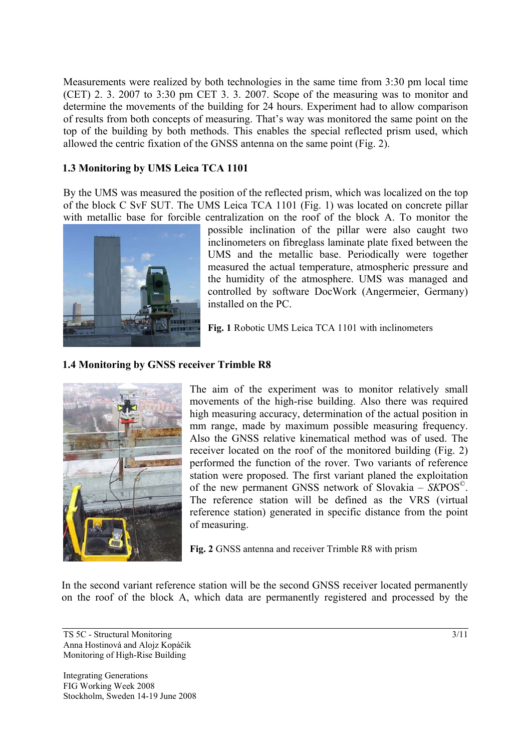Measurements were realized by both technologies in the same time from 3:30 pm local time (CET) 2. 3. 2007 to 3:30 pm CET 3. 3. 2007. Scope of the measuring was to monitor and determine the movements of the building for 24 hours. Experiment had to allow comparison of results from both concepts of measuring. That's way was monitored the same point on the top of the building by both methods. This enables the special reflected prism used, which allowed the centric fixation of the GNSS antenna on the same point (Fig. 2).

# **1.3 Monitoring by UMS Leica TCA 1101**

By the UMS was measured the position of the reflected prism, which was localized on the top of the block C SvF SUT. The UMS Leica TCA 1101 (Fig. 1) was located on concrete pillar with metallic base for forcible centralization on the roof of the block A. To monitor the



possible inclination of the pillar were also caught two inclinometers on fibreglass laminate plate fixed between the UMS and the metallic base. Periodically were together measured the actual temperature, atmospheric pressure and the humidity of the atmosphere. UMS was managed and controlled by software DocWork (Angermeier, Germany) installed on the PC.

**Fig. 1** Robotic UMS Leica TCA 1101 with inclinometers

# **1.4 Monitoring by GNSS receiver Trimble R8**



The aim of the experiment was to monitor relatively small movements of the high-rise building. Also there was required high measuring accuracy, determination of the actual position in mm range, made by maximum possible measuring frequency. Also the GNSS relative kinematical method was of used. The receiver located on the roof of the monitored building (Fig. 2) performed the function of the rover. Two variants of reference station were proposed. The first variant planed the exploitation of the new permanent GNSS network of Slovakia – *SK*POS©. The reference station will be defined as the VRS (virtual reference station) generated in specific distance from the point of measuring.

**Fig. 2** GNSS antenna and receiver Trimble R8 with prism

In the second variant reference station will be the second GNSS receiver located permanently on the roof of the block A, which data are permanently registered and processed by the

 $TSS \sim$  Structural Monitoring 3/11 Anna Hostinová and Alojz Kopáčik Monitoring of High-Rise Building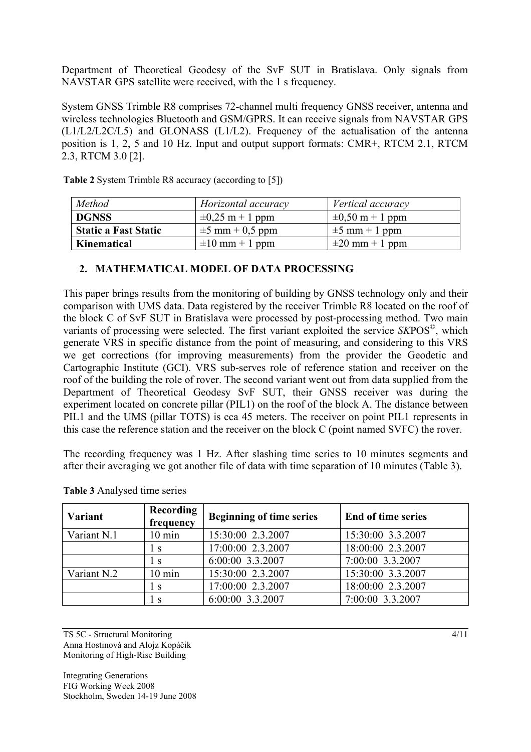Department of Theoretical Geodesy of the SvF SUT in Bratislava. Only signals from NAVSTAR GPS satellite were received, with the 1 s frequency.

System GNSS Trimble R8 comprises 72-channel multi frequency GNSS receiver, antenna and wireless technologies Bluetooth and GSM/GPRS. It can receive signals from NAVSTAR GPS (L1/L2/L2C/L5) and GLONASS (L1/L2). Frequency of the actualisation of the antenna position is 1, 2, 5 and 10 Hz. Input and output support formats: CMR+, RTCM 2.1, RTCM 2.3, RTCM 3.0 [2].

| Method                      | Horizontal accuracy  | Vertical accuracy    |
|-----------------------------|----------------------|----------------------|
| <b>DGNSS</b>                | $\pm 0.25$ m + 1 ppm | $\pm 0.50$ m + 1 ppm |
| <b>Static a Fast Static</b> | $\pm 5$ mm + 0,5 ppm | $\pm 5$ mm + 1 ppm   |
| Kinematical                 | $\pm 10$ mm + 1 ppm  | $\pm 20$ mm + 1 ppm  |

**Table 2** System Trimble R8 accuracy (according to [5])

### **2. MATHEMATICAL MODEL OF DATA PROCESSING**

This paper brings results from the monitoring of building by GNSS technology only and their comparison with UMS data. Data registered by the receiver Trimble R8 located on the roof of the block C of SvF SUT in Bratislava were processed by post-processing method. Two main variants of processing were selected. The first variant exploited the service *SK*POS©, which generate VRS in specific distance from the point of measuring, and considering to this VRS we get corrections (for improving measurements) from the provider the Geodetic and Cartographic Institute (GCI). VRS sub-serves role of reference station and receiver on the roof of the building the role of rover. The second variant went out from data supplied from the Department of Theoretical Geodesy SvF SUT, their GNSS receiver was during the experiment located on concrete pillar (PIL1) on the roof of the block A. The distance between PIL1 and the UMS (pillar TOTS) is cca 45 meters. The receiver on point PIL1 represents in this case the reference station and the receiver on the block C (point named SVFC) the rover.

The recording frequency was 1 Hz. After slashing time series to 10 minutes segments and after their averaging we got another file of data with time separation of 10 minutes (Table 3).

| <b>Recording</b><br><b>Variant</b><br>frequency |                  | <b>Beginning of time series</b> | <b>End of time series</b> |  |  |
|-------------------------------------------------|------------------|---------------------------------|---------------------------|--|--|
| Variant N.1                                     | $10 \text{ min}$ | 15:30:00 2.3.2007               | 15:30:00 3.3.2007         |  |  |
|                                                 | l s              | 17:00:00 2.3.2007               | 18:00:00 2.3.2007         |  |  |
|                                                 | ΙS               | 6:00:00 3.3.2007                | 7:00:00 3.3.2007          |  |  |
| Variant N.2                                     | $10 \text{ min}$ | 15:30:00 2.3.2007               | 15:30:00 3.3.2007         |  |  |
|                                                 | Ιs               | 17:00:00 2.3.2007               | 18:00:00 2.3.2007         |  |  |
|                                                 | Ιs               | 6:00:00 3.3.2007                | 7:00:00 3.3.2007          |  |  |

| Table 3 Analysed time series |  |
|------------------------------|--|
|                              |  |

 $TSSC - Structural Monitoring$  4/11 Anna Hostinová and Alojz Kopáčik Monitoring of High-Rise Building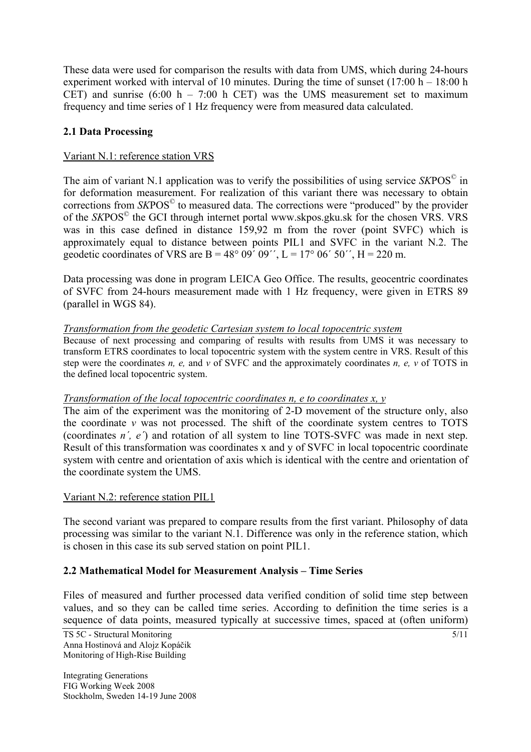These data were used for comparison the results with data from UMS, which during 24-hours experiment worked with interval of 10 minutes. During the time of sunset  $(17:00 h - 18:00 h$ CET) and sunrise  $(6:00 \text{ h} - 7:00 \text{ h}$  CET) was the UMS measurement set to maximum frequency and time series of 1 Hz frequency were from measured data calculated.

# **2.1 Data Processing**

# Variant N.1: reference station VRS

The aim of variant N.1 application was to verify the possibilities of using service *SKPOS*<sup>©</sup> in for deformation measurement. For realization of this variant there was necessary to obtain corrections from *SKPOS<sup>®</sup>* to measured data. The corrections were "produced" by the provider of the *SK*POS© the GCI through internet portal www.skpos.gku.sk for the chosen VRS. VRS was in this case defined in distance 159,92 m from the rover (point SVFC) which is approximately equal to distance between points PIL1 and SVFC in the variant N.2. The geodetic coordinates of VRS are B =  $48^{\circ}$  09<sup>'</sup> 09'', L =  $17^{\circ}$  06' 50'', H = 220 m.

Data processing was done in program LEICA Geo Office. The results, geocentric coordinates of SVFC from 24-hours measurement made with 1 Hz frequency, were given in ETRS 89 (parallel in WGS 84).

## *Transformation from the geodetic Cartesian system to local topocentric system*

Because of next processing and comparing of results with results from UMS it was necessary to transform ETRS coordinates to local topocentric system with the system centre in VRS. Result of this step were the coordinates *n, e,* and *v* of SVFC and the approximately coordinates *n, e, v* of TOTS in the defined local topocentric system.

#### *Transformation of the local topocentric coordinates n, e to coordinates x, y*

The aim of the experiment was the monitoring of 2-D movement of the structure only, also the coordinate *v* was not processed. The shift of the coordinate system centres to TOTS (coordinates *n´, e´*) and rotation of all system to line TOTS-SVFC was made in next step. Result of this transformation was coordinates x and y of SVFC in local topocentric coordinate system with centre and orientation of axis which is identical with the centre and orientation of the coordinate system the UMS.

#### Variant N.2: reference station PIL1

The second variant was prepared to compare results from the first variant. Philosophy of data processing was similar to the variant N.1. Difference was only in the reference station, which is chosen in this case its sub served station on point PIL1.

## **2.2 Mathematical Model for Measurement Analysis – Time Series**

Files of measured and further processed data verified condition of solid time step between values, and so they can be called time series. According to definition the time series is a sequence of data points, measured typically at successive times, spaced at (often uniform)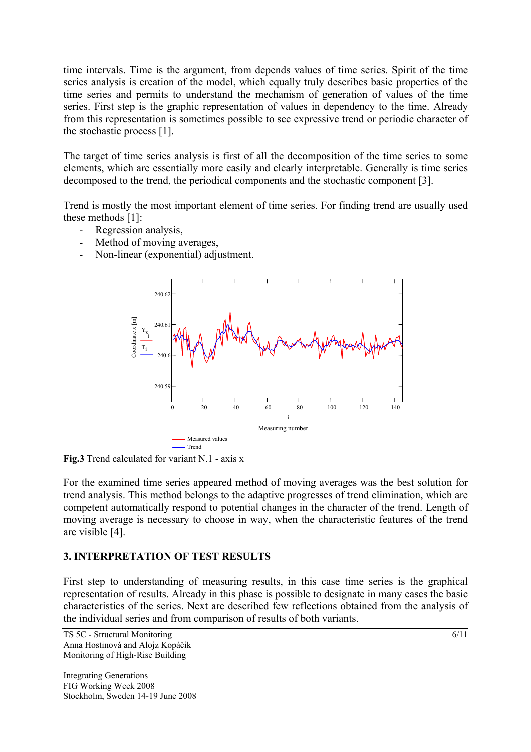time intervals. Time is the argument, from depends values of time series. Spirit of the time series analysis is creation of the model, which equally truly describes basic properties of the time series and permits to understand the mechanism of generation of values of the time series. First step is the graphic representation of values in dependency to the time. Already from this representation is sometimes possible to see expressive trend or periodic character of the stochastic process [1].

The target of time series analysis is first of all the decomposition of the time series to some elements, which are essentially more easily and clearly interpretable. Generally is time series decomposed to the trend, the periodical components and the stochastic component [3].

Trend is mostly the most important element of time series. For finding trend are usually used these methods [1]:

- Regression analysis,
- Method of moving averages,
- Non-linear (exponential) adjustment.



**Fig.3** Trend calculated for variant N.1 - axis x

For the examined time series appeared method of moving averages was the best solution for trend analysis. This method belongs to the adaptive progresses of trend elimination, which are competent automatically respond to potential changes in the character of the trend. Length of moving average is necessary to choose in way, when the characteristic features of the trend are visible [4].

## **3. INTERPRETATION OF TEST RESULTS**

First step to understanding of measuring results, in this case time series is the graphical representation of results. Already in this phase is possible to designate in many cases the basic characteristics of the series. Next are described few reflections obtained from the analysis of the individual series and from comparison of results of both variants.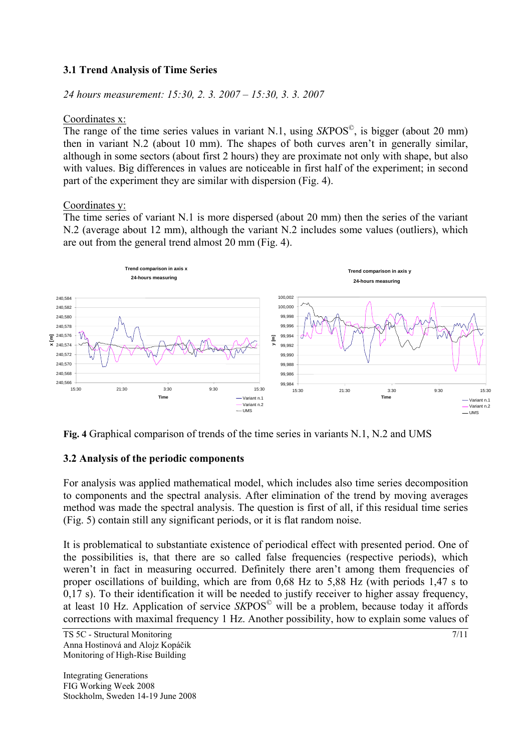# **3.1 Trend Analysis of Time Series**

*24 hours measurement: 15:30, 2. 3. 2007 – 15:30, 3. 3. 2007* 

#### Coordinates x:

The range of the time series values in variant N.1, using *SK*POS©, is bigger (about 20 mm) then in variant N.2 (about 10 mm). The shapes of both curves aren't in generally similar, although in some sectors (about first 2 hours) they are proximate not only with shape, but also with values. Big differences in values are noticeable in first half of the experiment; in second part of the experiment they are similar with dispersion (Fig. 4).

## Coordinates y:

The time series of variant N.1 is more dispersed (about 20 mm) then the series of the variant N.2 (average about 12 mm), although the variant N.2 includes some values (outliers), which are out from the general trend almost 20 mm (Fig. 4).



**Fig. 4** Graphical comparison of trends of the time series in variants N.1, N.2 and UMS

## **3.2 Analysis of the periodic components**

For analysis was applied mathematical model, which includes also time series decomposition to components and the spectral analysis. After elimination of the trend by moving averages method was made the spectral analysis. The question is first of all, if this residual time series (Fig. 5) contain still any significant periods, or it is flat random noise.

It is problematical to substantiate existence of periodical effect with presented period. One of the possibilities is, that there are so called false frequencies (respective periods), which weren't in fact in measuring occurred. Definitely there aren't among them frequencies of proper oscillations of building, which are from 0,68 Hz to 5,88 Hz (with periods 1,47 s to 0,17 s). To their identification it will be needed to justify receiver to higher assay frequency, at least 10 Hz. Application of service *SK*POS© will be a problem, because today it affords corrections with maximal frequency 1 Hz. Another possibility, how to explain some values of

 $TS$  5C - Structural Monitoring  $7/11$ Anna Hostinová and Alojz Kopáčik Monitoring of High-Rise Building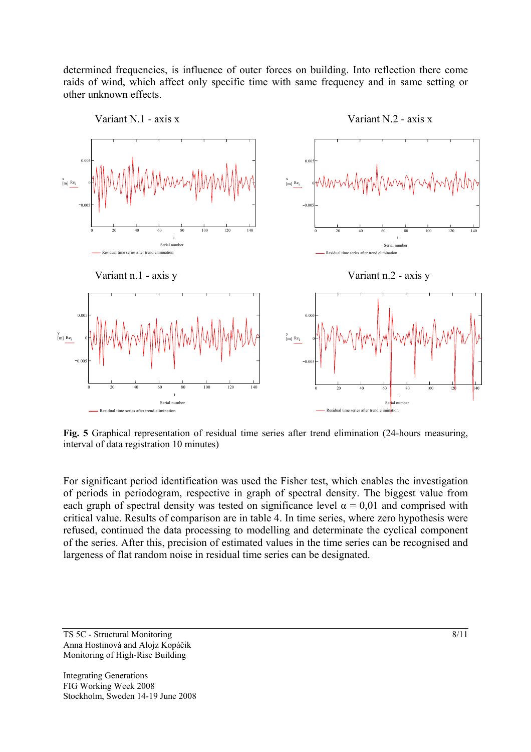determined frequencies, is influence of outer forces on building. Into reflection there come raids of wind, which affect only specific time with same frequency and in same setting or other unknown effects.



**Fig. 5** Graphical representation of residual time series after trend elimination (24-hours measuring, interval of data registration 10 minutes)

For significant period identification was used the Fisher test, which enables the investigation of periods in periodogram, respective in graph of spectral density. The biggest value from each graph of spectral density was tested on significance level  $\alpha = 0.01$  and comprised with critical value. Results of comparison are in table 4. In time series, where zero hypothesis were refused, continued the data processing to modelling and determinate the cyclical component of the series. After this, precision of estimated values in the time series can be recognised and largeness of flat random noise in residual time series can be designated.

 $T<sub>S</sub>$  5C - Structural Monitoring 8/11 Anna Hostinová and Alojz Kopáčik Monitoring of High-Rise Building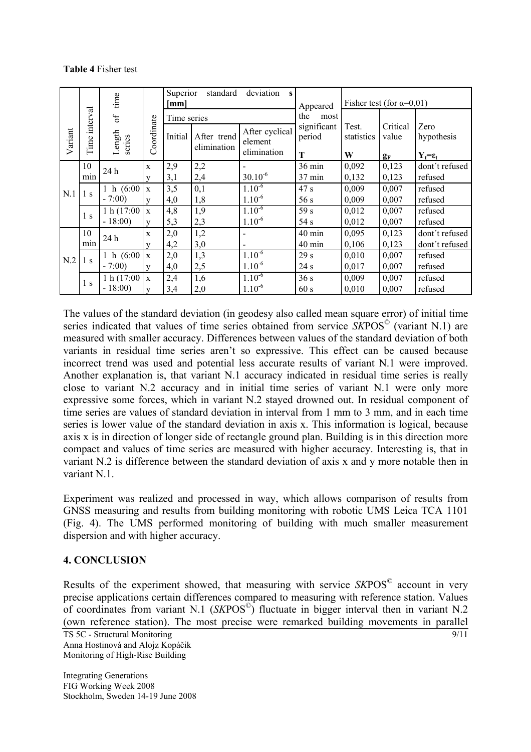#### **Table 4** Fisher test

|         |                | time             |                         | Superior<br>deviation<br>standard<br>$\mathbf{s}$<br>[mm] |                            | Appeared                  | Fisher test (for $\alpha=0.01$ ) |                     |                   |                       |
|---------|----------------|------------------|-------------------------|-----------------------------------------------------------|----------------------------|---------------------------|----------------------------------|---------------------|-------------------|-----------------------|
| Variant | interval       | of               |                         | Time series                                               |                            |                           | the<br>most                      |                     |                   |                       |
|         | Time           | Length<br>series | oordinate<br>Ö          | Initial                                                   | After trend<br>elimination | After cyclical<br>element | significant<br>period            | Test.<br>statistics | Critical<br>value | Zero<br>hypothesis    |
|         |                |                  |                         |                                                           |                            | elimination               | T                                | W                   | $g_F$             | $Y_t = \varepsilon_t$ |
|         | 10             | 24 h             | X                       | 2,9                                                       | 2,2                        |                           | 36 min                           | 0,092               | 0,123             | dont't refused        |
| N.1     | min            |                  | $\mathbf{V}$            | 3,1                                                       | 2,4                        | $30.10^{-6}$              | $37 \text{ min}$                 | 0,132               | 0,123             | refused               |
|         | 1 s            | 1 h $(6:00)$     | X                       | 3,5                                                       | 0,1                        | $1.10^{-6}$               | 47 s                             | 0,009               | 0,007             | refused               |
|         |                | $-7:00$          | $\overline{\mathbf{V}}$ | 4,0                                                       | 1,8                        | $1.10^{-6}$               | 56 s                             | 0,009               | 0,007             | refused               |
|         | 1 <sub>s</sub> | 1 h $(17:00)$    | $\mathbf{X}$            | 4,8                                                       | 1,9                        | $1.10^{-6}$               | 59 s                             | 0,012               | 0,007             | refused               |
|         |                | $-18:00$         | $\overline{\mathbf{V}}$ | 5,3                                                       | 2,3                        | $1.10^{-6}$               | 54 s                             | 0,012               | 0,007             | refused               |
| N.2     | 10<br>min      | 24 h             | X                       | 2,0                                                       | 1,2                        |                           | $40 \text{ min}$                 | 0,095               | 0,123             | dont't refused        |
|         |                |                  | V                       | 4,2                                                       | 3,0                        |                           | $40 \text{ min}$                 | 0,106               | 0,123             | dont't refused        |
|         | 1 <sub>s</sub> | 1 h $(6:00)$     | $\mathbf X$             | 2,0                                                       | 1,3                        | $1.10^{-6}$               | 29s                              | 0,010               | 0,007             | refused               |
|         |                | $-7:00$          | $\overline{\mathbf{V}}$ | 4,0                                                       | 2,5                        | $1.10^{-6}$               | 24 s                             | 0,017               | 0,007             | refused               |
|         | 1 <sub>s</sub> | 1 h $(17:00)$    | $\mathbf{X}$            | 2,4                                                       | 1,6                        | $1.10^{-6}$               | 36s                              | 0,009               | 0,007             | refused               |
|         |                | $-18:00$         | V                       | 3,4                                                       | 2,0                        | $1.10^{-6}$               | 60 s                             | 0,010               | 0,007             | refused               |

The values of the standard deviation (in geodesy also called mean square error) of initial time series indicated that values of time series obtained from service *SK*POS© (variant N.1) are measured with smaller accuracy. Differences between values of the standard deviation of both variants in residual time series aren't so expressive. This effect can be caused because incorrect trend was used and potential less accurate results of variant N.1 were improved. Another explanation is, that variant N.1 accuracy indicated in residual time series is really close to variant N.2 accuracy and in initial time series of variant N.1 were only more expressive some forces, which in variant N.2 stayed drowned out. In residual component of time series are values of standard deviation in interval from 1 mm to 3 mm, and in each time series is lower value of the standard deviation in axis x. This information is logical, because axis x is in direction of longer side of rectangle ground plan. Building is in this direction more compact and values of time series are measured with higher accuracy. Interesting is, that in variant N.2 is difference between the standard deviation of axis x and y more notable then in variant N.1.

Experiment was realized and processed in way, which allows comparison of results from GNSS measuring and results from building monitoring with robotic UMS Leica TCA 1101 (Fig. 4). The UMS performed monitoring of building with much smaller measurement dispersion and with higher accuracy.

## **4. CONCLUSION**

Results of the experiment showed, that measuring with service *SKPOS*<sup>©</sup> account in very precise applications certain differences compared to measuring with reference station. Values of coordinates from variant N.1  $(SKPOS^{\circ})$  fluctuate in bigger interval then in variant N.2 (own reference station). The most precise were remarked building movements in parallel

TS  $5C -$  Structural Monitoring 9/11 Anna Hostinová and Alojz Kopáčik Monitoring of High-Rise Building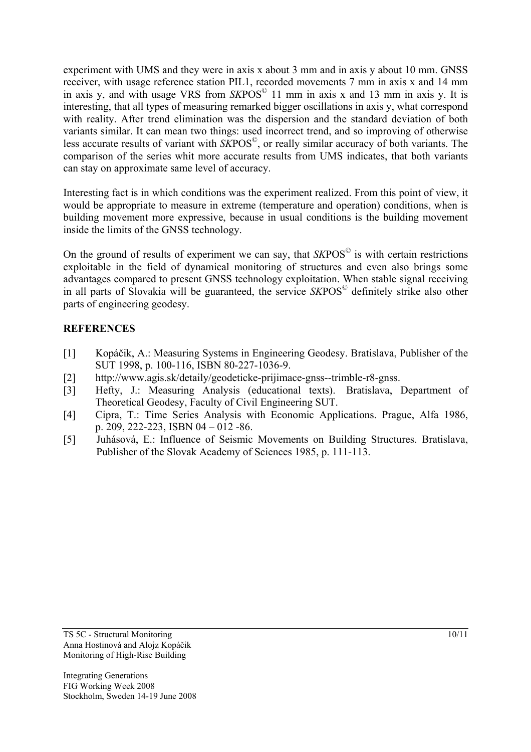experiment with UMS and they were in axis x about 3 mm and in axis y about 10 mm. GNSS receiver, with usage reference station PIL1, recorded movements 7 mm in axis x and 14 mm in axis y, and with usage VRS from *SK*POS© 11 mm in axis x and 13 mm in axis y. It is interesting, that all types of measuring remarked bigger oscillations in axis y, what correspond with reality. After trend elimination was the dispersion and the standard deviation of both variants similar. It can mean two things: used incorrect trend, and so improving of otherwise less accurate results of variant with *SK*POS©, or really similar accuracy of both variants. The comparison of the series whit more accurate results from UMS indicates, that both variants can stay on approximate same level of accuracy.

Interesting fact is in which conditions was the experiment realized. From this point of view, it would be appropriate to measure in extreme (temperature and operation) conditions, when is building movement more expressive, because in usual conditions is the building movement inside the limits of the GNSS technology.

On the ground of results of experiment we can say, that  $SKPOS^{\circ}$  is with certain restrictions exploitable in the field of dynamical monitoring of structures and even also brings some advantages compared to present GNSS technology exploitation. When stable signal receiving in all parts of Slovakia will be guaranteed, the service *SK*POS© definitely strike also other parts of engineering geodesy.

## **REFERENCES**

- [1] Kopáčik, A.: Measuring Systems in Engineering Geodesy. Bratislava, Publisher of the SUT 1998, p. 100-116, ISBN 80-227-1036-9.
- [2] http://www.agis.sk/detaily/geodeticke-prijimace-gnss--trimble-r8-gnss.
- [3] Hefty, J.: Measuring Analysis (educational texts). Bratislava, Department of Theoretical Geodesy, Faculty of Civil Engineering SUT.
- [4] Cipra, T.: Time Series Analysis with Economic Applications. Prague, Alfa 1986, p. 209, 222-223, ISBN 04 – 012 -86.
- [5] Juhásová, E.: Influence of Seismic Movements on Building Structures. Bratislava, Publisher of the Slovak Academy of Sciences 1985, p. 111-113.